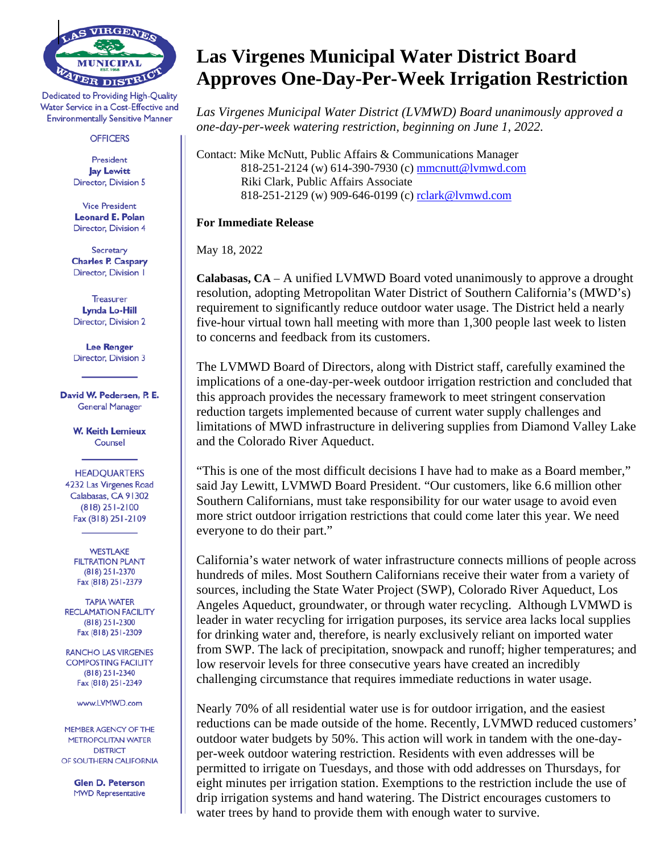

Dedicated to Providing High-Quality Water Service in a Cost-Effective and **Environmentally Sensitive Manner** 

## **OFFICERS**

President **Jay Lewitt** Director, Division 5

**Vice President Leonard E. Polan Director. Division 4** 

Secretary **Charles P. Caspary** Director, Division I

Treasurer **Lynda Lo-Hill** Director, Division 2

**Lee Renger Director, Division 3** 

David W. Pedersen, P. E. **General Manager** 

> **W. Keith Lemieux** Counsel

**HEADOUARTERS** 4232 Las Virgenes Road Calabasas, CA 91302  $(818)$  251-2100 Fax (818) 251-2109

**WESTLAKE FILTRATION PLANT** (818) 251-2370 Fax (818) 251-2379

**TAPIA WATER RECLAMATION FACILITY**  $(818)$  251-2300 Fax (818) 251-2309

**RANCHO LAS VIRGENES COMPOSTING FACILITY** (818) 251-2340 Fax (818) 251-2349

www.LVMWD.com

MEMBER AGENCY OF THE **METROPOLITAN WATER DISTRICT** OF SOUTHERN CALIFORNIA

> **Glen D. Peterson MWD Representative**

## **Las Virgenes Municipal Water District Board Approves One-Day-Per-Week Irrigation Restriction**

*Las Virgenes Municipal Water District (LVMWD) Board unanimously approved a one-day-per-week watering restriction, beginning on June 1, 2022.*

Contact: Mike McNutt, Public Affairs & Communications Manager 818-251-2124 (w) 614-390-7930 (c) [mmcnutt@lvmwd.com](mailto:mmcnutt@lvmwd.com) Riki Clark, Public Affairs Associate 818-251-2129 (w) 909-646-0199 (c) [rclark@lvmwd.com](mailto:rclark@lvmwd.com)

**For Immediate Release**

May 18, 2022

**Calabasas, CA** – A unified LVMWD Board voted unanimously to approve a drought resolution, adopting Metropolitan Water District of Southern California's (MWD's) requirement to significantly reduce outdoor water usage. The District held a nearly five-hour virtual town hall meeting with more than 1,300 people last week to listen to concerns and feedback from its customers.

The LVMWD Board of Directors, along with District staff, carefully examined the implications of a one-day-per-week outdoor irrigation restriction and concluded that this approach provides the necessary framework to meet stringent conservation reduction targets implemented because of current water supply challenges and limitations of MWD infrastructure in delivering supplies from Diamond Valley Lake and the Colorado River Aqueduct.

"This is one of the most difficult decisions I have had to make as a Board member," said Jay Lewitt, LVMWD Board President. "Our customers, like 6.6 million other Southern Californians, must take responsibility for our water usage to avoid even more strict outdoor irrigation restrictions that could come later this year. We need everyone to do their part."

California's water network of water infrastructure connects millions of people across hundreds of miles. Most Southern Californians receive their water from a variety of sources, including the State Water Project (SWP), Colorado River Aqueduct, Los Angeles Aqueduct, groundwater, or through water recycling. Although LVMWD is leader in water recycling for irrigation purposes, its service area lacks local supplies for drinking water and, therefore, is nearly exclusively reliant on imported water from SWP. The lack of precipitation, snowpack and runoff; higher temperatures; and low reservoir levels for three consecutive years have created an incredibly challenging circumstance that requires immediate reductions in water usage.

Nearly 70% of all residential water use is for outdoor irrigation, and the easiest reductions can be made outside of the home. Recently, LVMWD reduced customers' outdoor water budgets by 50%. This action will work in tandem with the one-dayper-week outdoor watering restriction. Residents with even addresses will be permitted to irrigate on Tuesdays, and those with odd addresses on Thursdays, for eight minutes per irrigation station. Exemptions to the restriction include the use of drip irrigation systems and hand watering. The District encourages customers to water trees by hand to provide them with enough water to survive.